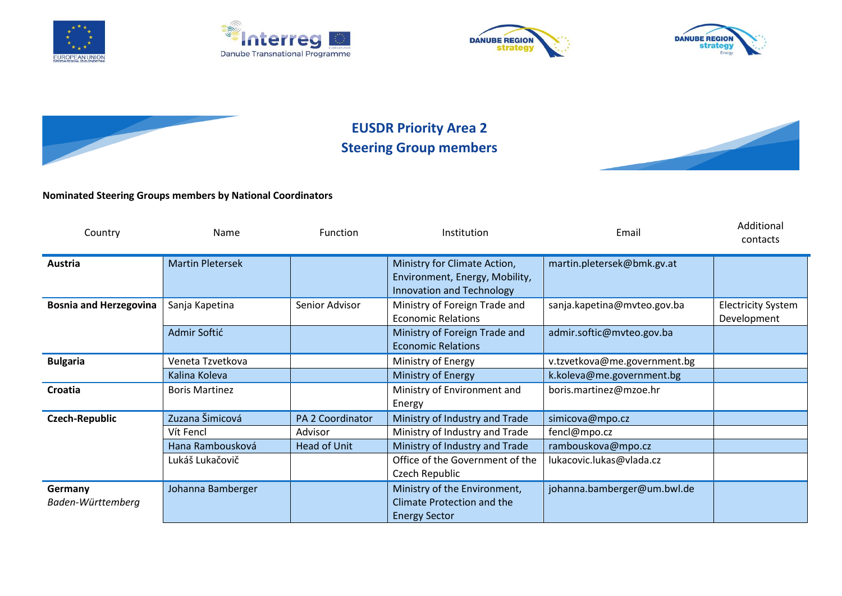









## **EUSDR Priority Area 2 Steering Group members**



## **Nominated Steering Groups members by National Coordinators**

| Country                       | Name                    | Function            | Institution                                                                                 | Email                        | Additional<br>contacts                   |
|-------------------------------|-------------------------|---------------------|---------------------------------------------------------------------------------------------|------------------------------|------------------------------------------|
| <b>Austria</b>                | <b>Martin Pletersek</b> |                     | Ministry for Climate Action,<br>Environment, Energy, Mobility,<br>Innovation and Technology | martin.pletersek@bmk.gv.at   |                                          |
| <b>Bosnia and Herzegovina</b> | Sanja Kapetina          | Senior Advisor      | Ministry of Foreign Trade and<br><b>Economic Relations</b>                                  | sanja.kapetina@mvteo.gov.ba  | <b>Electricity System</b><br>Development |
|                               | Admir Softić            |                     | Ministry of Foreign Trade and<br><b>Economic Relations</b>                                  | admir.softic@mvteo.gov.ba    |                                          |
| <b>Bulgaria</b>               | Veneta Tzvetkova        |                     | Ministry of Energy                                                                          | v.tzvetkova@me.government.bg |                                          |
|                               | Kalina Koleva           |                     | Ministry of Energy                                                                          | k.koleva@me.government.bg    |                                          |
| Croatia                       | <b>Boris Martinez</b>   |                     | Ministry of Environment and<br>Energy                                                       | boris.martinez@mzoe.hr       |                                          |
| Czech-Republic                | Zuzana Šimicová         | PA 2 Coordinator    | Ministry of Industry and Trade                                                              | simicova@mpo.cz              |                                          |
|                               | Vít Fencl               | Advisor             | Ministry of Industry and Trade                                                              | fencl@mpo.cz                 |                                          |
|                               | Hana Rambousková        | <b>Head of Unit</b> | Ministry of Industry and Trade                                                              | rambouskova@mpo.cz           |                                          |
|                               | Lukáš Lukačovič         |                     | Office of the Government of the<br>Czech Republic                                           | lukacovic.lukas@vlada.cz     |                                          |
| Germany<br>Baden-Württemberg  | Johanna Bamberger       |                     | Ministry of the Environment,<br>Climate Protection and the<br><b>Energy Sector</b>          | johanna.bamberger@um.bwl.de  |                                          |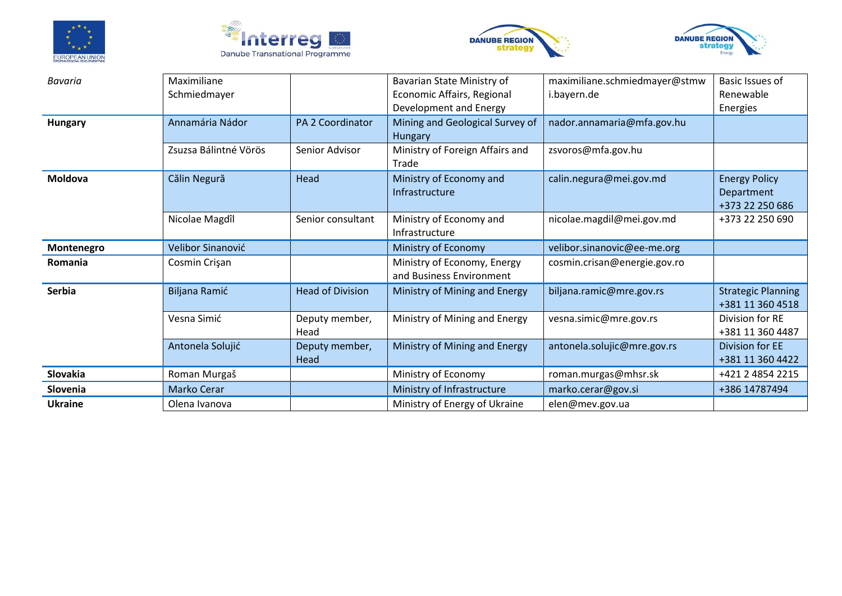







| <b>Bavaria</b> | Maximiliane<br>Schmiedmayer |                         | Bavarian State Ministry of<br>Economic Affairs, Regional<br>Development and Energy | maximiliane.schmiedmayer@stmw<br>i.bayern.de | Basic Issues of<br>Renewable<br>Energies              |
|----------------|-----------------------------|-------------------------|------------------------------------------------------------------------------------|----------------------------------------------|-------------------------------------------------------|
| <b>Hungary</b> | Annamária Nádor             | <b>PA 2 Coordinator</b> | Mining and Geological Survey of<br>Hungary                                         | nador.annamaria@mfa.gov.hu                   |                                                       |
|                | Zsuzsa Bálintné Vörös       | Senior Advisor          | Ministry of Foreign Affairs and<br>Trade                                           | zsvoros@mfa.gov.hu                           |                                                       |
| Moldova        | Călin Negură                | Head                    | Ministry of Economy and<br>Infrastructure                                          | calin.negura@mei.gov.md                      | <b>Energy Policy</b><br>Department<br>+373 22 250 686 |
|                | Nicolae Magdîl              | Senior consultant       | Ministry of Economy and<br>Infrastructure                                          | nicolae.magdil@mei.gov.md                    | +373 22 250 690                                       |
| Montenegro     | Velibor Sinanović           |                         | Ministry of Economy                                                                | velibor.sinanovic@ee-me.org                  |                                                       |
| Romania        | Cosmin Crişan               |                         | Ministry of Economy, Energy<br>and Business Environment                            | cosmin.crisan@energie.gov.ro                 |                                                       |
| Serbia         | Biljana Ramić               | <b>Head of Division</b> | Ministry of Mining and Energy                                                      | biljana.ramic@mre.gov.rs                     |                                                       |
|                | Vesna Simić                 | Deputy member,<br>Head  | Ministry of Mining and Energy                                                      | vesna.simic@mre.gov.rs                       | Division for RE<br>+381 11 360 4487                   |
|                | Antonela Solujić            | Deputy member,<br>Head  | Ministry of Mining and Energy                                                      | antonela.solujic@mre.gov.rs                  | Division for EE<br>+381 11 360 4422                   |
| Slovakia       | Roman Murgaš                |                         | Ministry of Economy                                                                | roman.murgas@mhsr.sk                         | +421 2 4854 2215                                      |
| Slovenia       | Marko Cerar                 |                         | Ministry of Infrastructure                                                         | marko.cerar@gov.si                           | +386 14787494                                         |
| <b>Ukraine</b> | Olena Ivanova               |                         | Ministry of Energy of Ukraine                                                      | elen@mev.gov.ua                              |                                                       |